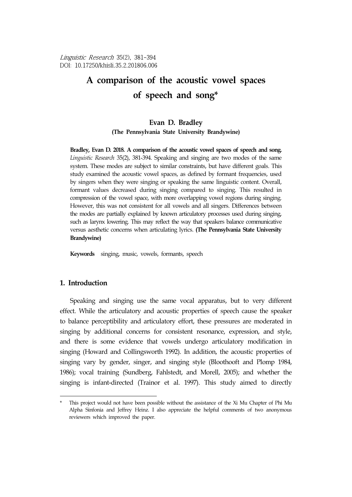Linguistic Research 35(2), 381-394 DOI: 10.17250/khisli.35.2.201806.006

# **A comparison of the acoustic vowel spaces**  of speech and song\*

## **Evan D. Bradley**

**(The Pennsylvania State University Brandywine)**

**Bradley, Evan D. 2018. A comparison of the acoustic vowel spaces of speech and song.** *Linguistic Research* 35(2), 381-394. Speaking and singing are two modes of the same system. These modes are subject to similar constraints, but have different goals. This study examined the acoustic vowel spaces, as defined by formant frequencies, used by singers when they were singing or speaking the same linguistic content. Overall, formant values decreased during singing compared to singing. This resulted in compression of the vowel space, with more overlapping vowel regions during singing. However, this was not consistent for all vowels and all singers. Differences between the modes are partially explained by known articulatory processes used during singing, such as larynx lowering. This may reflect the way that speakers balance communicative versus aesthetic concerns when articulating lyrics. **(The Pennsylvania State University Brandywine)**

**Keywords** singing, music, vowels, formants, speech

#### **1. Introduction**

Speaking and singing use the same vocal apparatus, but to very different effect. While the articulatory and acoustic properties of speech cause the speaker to balance perceptibility and articulatory effort, these pressures are moderated in singing by additional concerns for consistent resonance, expression, and style, and there is some evidence that vowels undergo articulatory modification in singing (Howard and Collingsworth 1992). In addition, the acoustic properties of singing vary by gender, singer, and singing style (Bloothooft and Plomp 1984, 1986); vocal training (Sundberg, Fahlstedt, and Morell, 2005); and whether the singing is infant-directed (Trainor et al. 1997). This study aimed to directly

<sup>\*</sup> This project would not have been possible without the assistance of the Xi Mu Chapter of Phi Mu Alpha Sinfonia and Jeffrey Heinz. I also appreciate the helpful comments of two anonymous reviewers which improved the paper.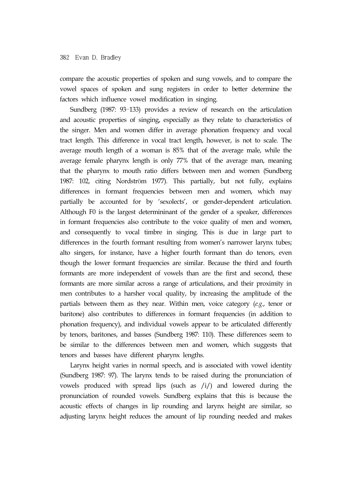compare the acoustic properties of spoken and sung vowels, and to compare the vowel spaces of spoken and sung registers in order to better determine the factors which influence vowel modification in singing.

Sundberg (1987: 93–133) provides a review of research on the articulation and acoustic properties of singing, especially as they relate to characteristics of the singer. Men and women differ in average phonation frequency and vocal tract length. This difference in vocal tract length, however, is not to scale. The average mouth length of a woman is 85% that of the average male, while the average female pharynx length is only 77% that of the average man, meaning that the pharynx to mouth ratio differs between men and women (Sundberg 1987: 102, citing Nordström 1977). This partially, but not fully, explains differences in formant frequencies between men and women, which may partially be accounted for by 'sexolects', or gender-dependent articulation. Although F0 is the largest determininant of the gender of a speaker, differences in formant frequencies also contribute to the voice quality of men and women, and consequently to vocal timbre in singing. This is due in large part to differences in the fourth formant resulting from women's narrower larynx tubes; alto singers, for instance, have a higher fourth formant than do tenors, even though the lower formant frequencies are similar. Because the third and fourth formants are more independent of vowels than are the first and second, these formants are more similar across a range of articulations, and their proximity in men contributes to a harsher vocal quality, by increasing the amplitude of the partials between them as they near. Within men, voice category (*e.g.*, tenor or baritone) also contributes to differences in formant frequencies (in addition to phonation frequency), and individual vowels appear to be articulated differently by tenors, baritones, and basses (Sundberg 1987: 110). These differences seem to be similar to the differences between men and women, which suggests that tenors and basses have different pharynx lengths.

Larynx height varies in normal speech, and is associated with vowel identity (Sundberg 1987: 97). The larynx tends to be raised during the pronunciation of vowels produced with spread lips (such as /i/) and lowered during the pronunciation of rounded vowels. Sundberg explains that this is because the acoustic effects of changes in lip rounding and larynx height are similar, so adjusting larynx height reduces the amount of lip rounding needed and makes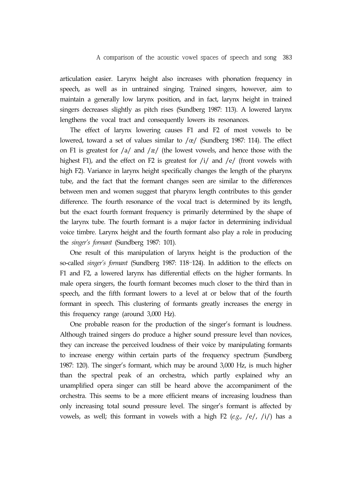A comparison of the acoustic vowel spaces of speech and song 383

articulation easier. Larynx height also increases with phonation frequency in speech, as well as in untrained singing. Trained singers, however, aim to maintain a generally low larynx position, and in fact, larynx height in trained singers decreases slightly as pitch rises (Sundberg 1987: 113). A lowered larynx lengthens the vocal tract and consequently lowers its resonances.

The effect of larynx lowering causes F1 and F2 of most vowels to be lowered, toward a set of values similar to /œ/ (Sundberg 1987: 114). The effect on F1 is greatest for  $\frac{a}{a}$  and  $\frac{g}{c}$  (the lowest vowels, and hence those with the highest F1), and the effect on F2 is greatest for  $/i/$  and  $/e/$  (front vowels with high F2). Variance in larynx height specifically changes the length of the pharynx tube, and the fact that the formant changes seen are similar to the differences between men and women suggest that pharynx length contributes to this gender difference. The fourth resonance of the vocal tract is determined by its length, but the exact fourth formant frequency is primarily determined by the shape of the larynx tube. The fourth formant is a major factor in determining individual voice timbre. Larynx height and the fourth formant also play a role in producing the *singer's formant* (Sundberg 1987: 101).

One result of this manipulation of larynx height is the production of the so-called *singer's formant* (Sundberg 1987: 118–124). In addition to the effects on F1 and F2, a lowered larynx has differential effects on the higher formants. In male opera singers, the fourth formant becomes much closer to the third than in speech, and the fifth formant lowers to a level at or below that of the fourth formant in speech. This clustering of formants greatly increases the energy in this frequency range (around 3,000 Hz).

One probable reason for the production of the singer's formant is loudness. Although trained singers do produce a higher sound pressure level than novices, they can increase the perceived loudness of their voice by manipulating formants to increase energy within certain parts of the frequency spectrum (Sundberg 1987: 120). The singer's formant, which may be around 3,000 Hz, is much higher than the spectral peak of an orchestra, which partly explained why an unamplified opera singer can still be heard above the accompaniment of the orchestra. This seems to be a more efficient means of increasing loudness than only increasing total sound pressure level. The singer's formant is affected by vowels, as well; this formant in vowels with a high F2 (*e.g.*, /e/, /i/) has a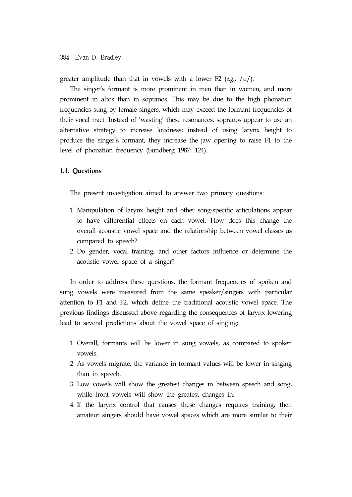greater amplitude than that in vowels with a lower F2 (*e.g.*, /u/).

The singer's formant is more prominent in men than in women, and more prominent in altos than in sopranos. This may be due to the high phonation frequencies sung by female singers, which may exceed the formant frequencies of their vocal tract. Instead of 'wasting' these resonances, sopranos appear to use an alternative strategy to increase loudness; instead of using larynx height to produce the singer's formant, they increase the jaw opening to raise F1 to the level of phonation frequency (Sundberg 1987: 124).

#### **1.1. Questions**

The present investigation aimed to answer two primary questions:

- 1. Manipulation of larynx height and other song-specific articulations appear to have differential effects on each vowel. How does this change the overall acoustic vowel space and the relationship between vowel classes as compared to speech?
- 2. Do gender, vocal training, and other factors influence or determine the acoustic vowel space of a singer?

In order to address these questions, the formant frequencies of spoken and sung vowels were measured from the same speaker/singers with particular attention to F1 and F2, which define the traditional acoustic vowel space. The previous findings discussed above regarding the consequences of larynx lowering lead to several predictions about the vowel space of singing:

- 1. Overall, formants will be lower in sung vowels, as compared to spoken vowels.
- 2. As vowels migrate, the variance in formant values will be lower in singing than in speech.
- 3. Low vowels will show the greatest changes in between speech and song, while front vowels will show the greatest changes in.
- 4. If the larynx control that causes these changes requires training, then amateur singers should have vowel spaces which are more similar to their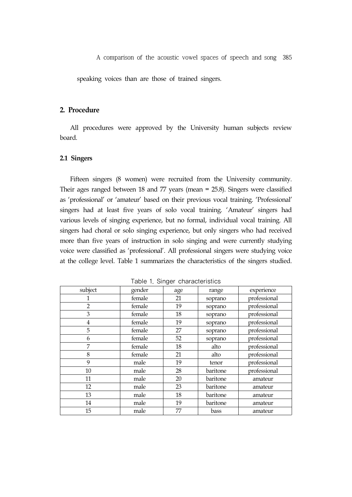A comparison of the acoustic vowel spaces of speech and song 385

speaking voices than are those of trained singers.

# **2. Procedure**

All procedures were approved by the University human subjects review board.

#### **2.1 Singers**

Fifteen singers (8 women) were recruited from the University community. Their ages ranged between 18 and 77 years (mean = 25.8). Singers were classified as 'professional' or 'amateur' based on their previous vocal training. 'Professional' singers had at least five years of solo vocal training. 'Amateur' singers had various levels of singing experience, but no formal, individual vocal training. All singers had choral or solo singing experience, but only singers who had received more than five years of instruction in solo singing and were currently studying voice were classified as 'professional'. All professional singers were studying voice at the college level. Table 1 summarizes the characteristics of the singers studied.

| subject        | gender | age | experience<br>range |              |  |
|----------------|--------|-----|---------------------|--------------|--|
|                | female | 21  | soprano             | professional |  |
| $\overline{2}$ | female | 19  | soprano             | professional |  |
| 3              | female | 18  | soprano             | professional |  |
| 4              | female | 19  | soprano             | professional |  |
| 5              | female | 27  | soprano             | professional |  |
| 6              | female | 52  | soprano             | professional |  |
| 7              | female | 18  | alto                | professional |  |
| 8              | female | 21  | alto                | professional |  |
| 9              | male   | 19  | tenor               | professional |  |
| 10             | male   | 28  | baritone            | professional |  |
| 11             | male   | 20  | baritone            | amateur      |  |
| 12             | male   | 23  | baritone            | amateur      |  |
| 13             | male   | 18  | baritone            | amateur      |  |
| 14             | male   | 19  | baritone            | amateur      |  |
| 15             | male   | 77  | bass                | amateur      |  |

Table 1. Singer characteristics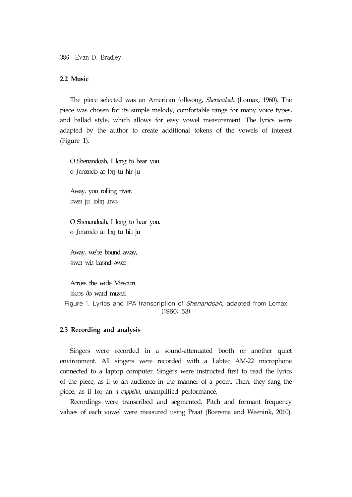386 Evan D. Bradley

## **2.2 Music**

The piece selected was an American folksong, *Shenandoah* (Lomax, 1960). The piece was chosen for its simple melody, comfortable range for many voice types, and ballad style, which allows for easy vowel measurement. The lyrics were adapted by the author to create additional tokens of the vowels of interest (Figure 1).

O Shenandoah, I long to hear you. o ʃɛnændo aɪ lɔŋ tu hir ju

Away, you rolling river. əweɪ ju ɹolɪŋ ɹɪvɚ

O Shenandoah, I long to hear you. o fenændo ar lon tu hi*x* ju

Away, we're bound away, əweɪ wiɹ baʊnd əweɪ

Across the wide Missouri. əkɹɔs ðə waɪd mɪzʊɹi Figure 1. Lyrics and IPA transcription of Shenandoah, adapted from Lomax (1960: 53)

#### **2.3 Recording and analysis**

Singers were recorded in a sound-attenuated booth or another quiet environment. All singers were recorded with a Labtec AM-22 microphone connected to a laptop computer. Singers were instructed first to read the lyrics of the piece, as if to an audience in the manner of a poem. Then, they sang the piece, as if for an *a cappella*, unamplified performance.

Recordings were transcribed and segmented. Pitch and formant frequency values of each vowel were measured using Praat (Boersma and Weenink, 2010).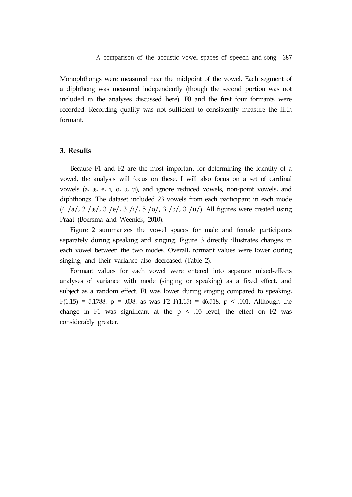Monophthongs were measured near the midpoint of the vowel. Each segment of a diphthong was measured independently (though the second portion was not included in the analyses discussed here). F0 and the first four formants were recorded. Recording quality was not sufficient to consistently measure the fifth formant.

#### **3. Results**

Because F1 and F2 are the most important for determining the identity of a vowel, the analysis will focus on these. I will also focus on a set of cardinal vowels (a, æ, e, i, o, ɔ, u), and ignore reduced vowels, non-point vowels, and diphthongs. The dataset included 23 vowels from each participant in each mode  $(4/a/2/a)/(2/a)$ ,  $3/e/3$  /i/,  $5$  /o/,  $3$  /o/,  $3$  /u/). All figures were created using Praat (Boersma and Weenick, 2010).

Figure 2 summarizes the vowel spaces for male and female participants separately during speaking and singing. Figure 3 directly illustrates changes in each vowel between the two modes. Overall, formant values were lower during singing, and their variance also decreased (Table 2).

Formant values for each vowel were entered into separate mixed-effects analyses of variance with mode (singing or speaking) as a fixed effect, and subject as a random effect. F1 was lower during singing compared to speaking, F(1,15) = 5.1788, p = .038, as was F2 F(1,15) = 46.518, p < .001. Although the change in F1 was significant at the  $p < .05$  level, the effect on F2 was considerably greater.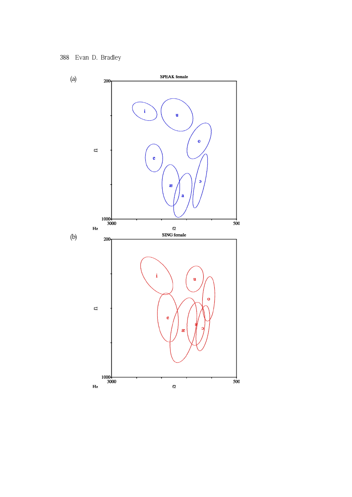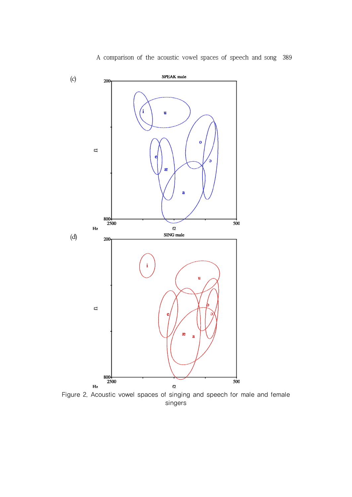

Figure 2. Acoustic vowel spaces of singing and speech for male and female singers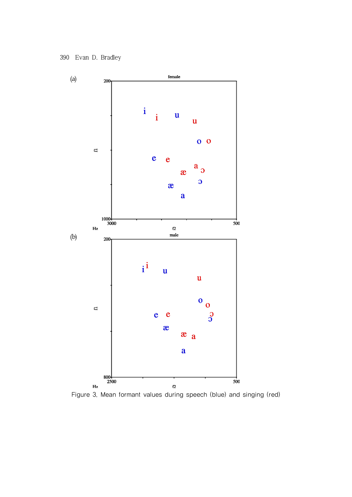

Figure 3. Mean formant values during speech (blue) and singing (red)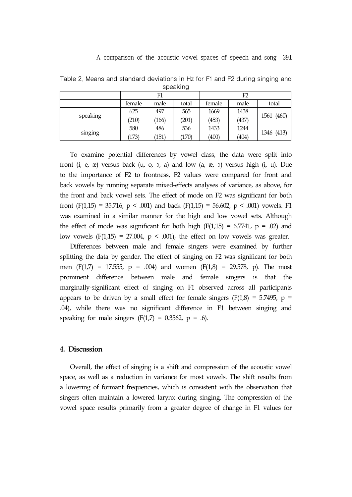|          | F1     |       |       | F2     |       |            |  |  |
|----------|--------|-------|-------|--------|-------|------------|--|--|
|          | female | male  | total | female | male  | total      |  |  |
| speaking | 625    | 497   | 565   | 1669   | 1438  | 1561 (460) |  |  |
|          | (210)  | (166) | (201) | (453)  | (437) |            |  |  |
| singing  | 580    | 486   | 536   | 1433   | 1244  | 1346 (413) |  |  |
|          | (173)  | (151) | (170) | (400)  | (404) |            |  |  |

Table 2. Means and standard deviations in Hz for F1 and F2 during singing and speaking

To examine potential differences by vowel class, the data were split into front  $(i, e, x)$  versus back  $(u, o, o, a)$  and low  $(a, x, o)$  versus high  $(i, u)$ . Due to the importance of F2 to frontness, F2 values were compared for front and back vowels by running separate mixed-effects analyses of variance, as above, for the front and back vowel sets. The effect of mode on F2 was significant for both front (F(1,15) = 35.716,  $p < .001$ ) and back (F(1,15) = 56.602,  $p < .001$ ) vowels. F1 was examined in a similar manner for the high and low vowel sets. Although the effect of mode was significant for both high  $(F(1,15) = 6.7741, p = .02)$  and low vowels  $(F(1,15) = 27.004, p < .001)$ , the effect on low vowels was greater.

Differences between male and female singers were examined by further splitting the data by gender. The effect of singing on F2 was significant for both men  $(F(1,7) = 17.555, p = .004)$  and women  $(F(1,8) = 29.578, p)$ . The most prominent difference between male and female singers is that the marginally-significant effect of singing on F1 observed across all participants appears to be driven by a small effect for female singers ( $F(1,8) = 5.7495$ ,  $p =$ .04), while there was no significant difference in F1 between singing and speaking for male singers  $(F(1,7) = 0.3562, p = .6)$ .

### **4. Discussion**

Overall, the effect of singing is a shift and compression of the acoustic vowel space, as well as a reduction in variance for most vowels. The shift results from a lowering of formant frequencies, which is consistent with the observation that singers often maintain a lowered larynx during singing. The compression of the vowel space results primarily from a greater degree of change in F1 values for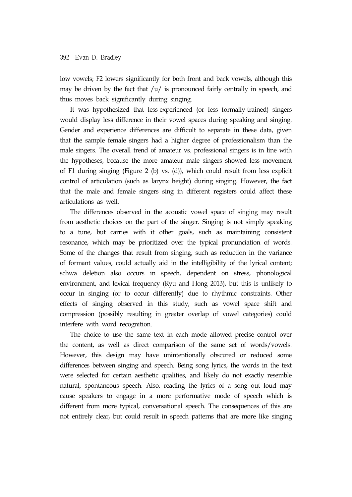low vowels; F2 lowers significantly for both front and back vowels, although this may be driven by the fact that  $/u/$  is pronounced fairly centrally in speech, and thus moves back significantly during singing.

It was hypothesized that less-experienced (or less formally-trained) singers would display less difference in their vowel spaces during speaking and singing. Gender and experience differences are difficult to separate in these data, given that the sample female singers had a higher degree of professionalism than the male singers. The overall trend of amateur vs. professional singers is in line with the hypotheses, because the more amateur male singers showed less movement of F1 during singing (Figure 2 (b) vs. (d)), which could result from less explicit control of articulation (such as larynx height) during singing. However, the fact that the male and female singers sing in different registers could affect these articulations as well.

The differences observed in the acoustic vowel space of singing may result from aesthetic choices on the part of the singer. Singing is not simply speaking to a tune, but carries with it other goals, such as maintaining consistent resonance, which may be prioritized over the typical pronunciation of words. Some of the changes that result from singing, such as reduction in the variance of formant values, could actually aid in the intelligibility of the lyrical content; schwa deletion also occurs in speech, dependent on stress, phonological environment, and lexical frequency (Ryu and Hong 2013), but this is unlikely to occur in singing (or to occur differently) due to rhythmic constraints. Other effects of singing observed in this study, such as vowel space shift and compression (possibly resulting in greater overlap of vowel categories) could interfere with word recognition.

The choice to use the same text in each mode allowed precise control over the content, as well as direct comparison of the same set of words/vowels. However, this design may have unintentionally obscured or reduced some differences between singing and speech. Being song lyrics, the words in the text were selected for certain aesthetic qualities, and likely do not exactly resemble natural, spontaneous speech. Also, reading the lyrics of a song out loud may cause speakers to engage in a more performative mode of speech which is different from more typical, conversational speech. The consequences of this are not entirely clear, but could result in speech patterns that are more like singing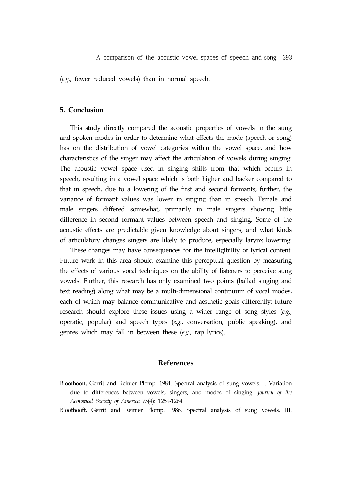A comparison of the acoustic vowel spaces of speech and song 393

(*e.g.*, fewer reduced vowels) than in normal speech.

## **5. Conclusion**

This study directly compared the acoustic properties of vowels in the sung and spoken modes in order to determine what effects the mode (speech or song) has on the distribution of vowel categories within the vowel space, and how characteristics of the singer may affect the articulation of vowels during singing. The acoustic vowel space used in singing shifts from that which occurs in speech, resulting in a vowel space which is both higher and backer compared to that in speech, due to a lowering of the first and second formants; further, the variance of formant values was lower in singing than in speech. Female and male singers differed somewhat, primarily in male singers showing little difference in second formant values between speech and singing. Some of the acoustic effects are predictable given knowledge about singers, and what kinds of articulatory changes singers are likely to produce, especially larynx lowering.

These changes may have consequences for the intelligibility of lyrical content. Future work in this area should examine this perceptual question by measuring the effects of various vocal techniques on the ability of listeners to perceive sung vowels. Further, this research has only examined two points (ballad singing and text reading) along what may be a multi-dimensional continuum of vocal modes, each of which may balance communicative and aesthetic goals differently; future research should explore these issues using a wider range of song styles (*e.g.*, operatic, popular) and speech types (*e.g.*, conversation, public speaking), and genres which may fall in between these (*e.g.*, rap lyrics).

#### **References**

Bloothooft, Gerrit and Reinier Plomp. 1984. Spectral analysis of sung vowels. I. Variation due to differences between vowels, singers, and modes of singing. *Journal of the Acoustical Society of America* 75(4): 1259-1264.

Bloothooft, Gerrit and Reinier Plomp. 1986. Spectral analysis of sung vowels. III.